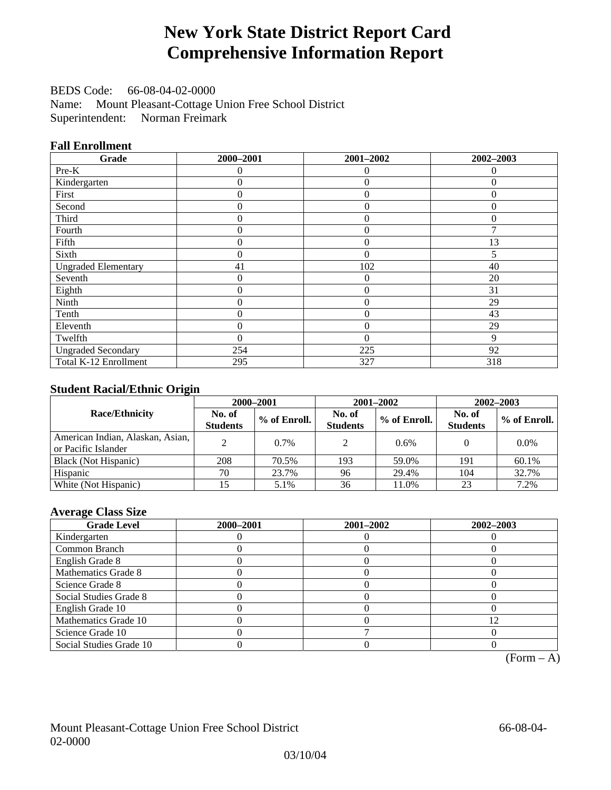# **New York State District Report Card Comprehensive Information Report**

BEDS Code: 66-08-04-02-0000 Name: Mount Pleasant-Cottage Union Free School District Superintendent: Norman Freimark

## **Fall Enrollment**

| Grade                      | 2000-2001 | 2001-2002      | 2002-2003 |
|----------------------------|-----------|----------------|-----------|
| Pre-K                      | 0         | $\theta$       | $\theta$  |
| Kindergarten               | 0         | $\theta$       | $\Omega$  |
| First                      | $\theta$  | $\theta$       | $\Omega$  |
| Second                     | $\theta$  | $\theta$       | $\Omega$  |
| Third                      | 0         | $\overline{0}$ | $\Omega$  |
| Fourth                     | 0         | $\overline{0}$ |           |
| Fifth                      | 0         | $\theta$       | 13        |
| Sixth                      | 0         | $\Omega$       |           |
| <b>Ungraded Elementary</b> | 41        | 102            | 40        |
| Seventh                    | 0         | $\theta$       | 20        |
| Eighth                     | 0         | $\overline{0}$ | 31        |
| Ninth                      | 0         | $\overline{0}$ | 29        |
| Tenth                      | 0         | $\overline{0}$ | 43        |
| Eleventh                   | 0         | $\overline{0}$ | 29        |
| Twelfth                    | 0         | $\theta$       | 9         |
| <b>Ungraded Secondary</b>  | 254       | 225            | 92        |
| Total K-12 Enrollment      | 295       | 327            | 318       |

## **Student Racial/Ethnic Origin**

|                                                         |                           | 2000-2001    |                           | 2001-2002    |                           | $2002 - 2003$  |
|---------------------------------------------------------|---------------------------|--------------|---------------------------|--------------|---------------------------|----------------|
| <b>Race/Ethnicity</b>                                   | No. of<br><b>Students</b> | % of Enroll. | No. of<br><b>Students</b> | % of Enroll. | No. of<br><b>Students</b> | $%$ of Enroll. |
| American Indian, Alaskan, Asian,<br>or Pacific Islander |                           | $0.7\%$      | 2                         | 0.6%         |                           | $0.0\%$        |
| Black (Not Hispanic)                                    | 208                       | 70.5%        | 193                       | 59.0%        | 191                       | 60.1%          |
| Hispanic                                                | 70                        | 23.7%        | 96                        | 29.4%        | 104                       | 32.7%          |
| White (Not Hispanic)                                    |                           | 5.1%         | 36                        | 11.0%        | 23                        | 7.2%           |

## **Average Class Size**

| <b>Grade Level</b>      | 2000-2001 | 2001-2002 | 2002-2003 |
|-------------------------|-----------|-----------|-----------|
| Kindergarten            |           |           |           |
| Common Branch           |           |           |           |
| English Grade 8         |           |           |           |
| Mathematics Grade 8     |           |           |           |
| Science Grade 8         |           |           |           |
| Social Studies Grade 8  |           |           |           |
| English Grade 10        |           |           |           |
| Mathematics Grade 10    |           |           | ∣າ        |
| Science Grade 10        |           |           |           |
| Social Studies Grade 10 |           |           |           |

 $(Form - A)$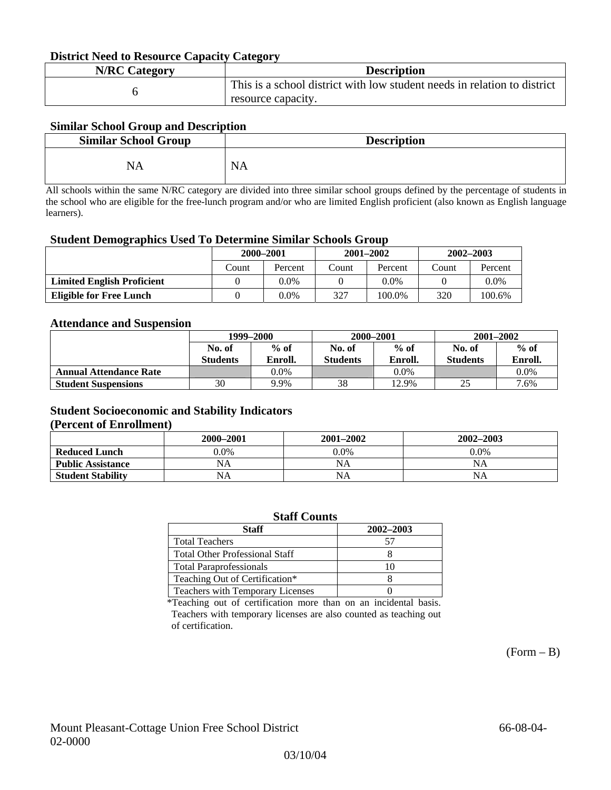### **District Need to Resource Capacity Category**

| <b>N/RC Category</b> | <b>Description</b>                                                       |
|----------------------|--------------------------------------------------------------------------|
|                      | This is a school district with low student needs in relation to district |
|                      | resource capacity.                                                       |

## **Similar School Group and Description**

| <b>Similar School Group</b> | <b>Description</b> |
|-----------------------------|--------------------|
| NΔ                          | N<br>мA            |

All schools within the same N/RC category are divided into three similar school groups defined by the percentage of students in the school who are eligible for the free-lunch program and/or who are limited English proficient (also known as English language learners).

#### **Student Demographics Used To Determine Similar Schools Group**

| 0                                 |           |         |       |               |               |         |
|-----------------------------------|-----------|---------|-------|---------------|---------------|---------|
|                                   | 2000-2001 |         |       | $2001 - 2002$ | $2002 - 2003$ |         |
|                                   | Count     | Percent | Count | Percent       | Count         | Percent |
| <b>Limited English Proficient</b> |           | 0.0%    |       | $0.0\%$       |               | $0.0\%$ |
| Eligible for Free Lunch           |           | 0.0%    | 327   | 100.0%        | 320           | 100.6%  |

### **Attendance and Suspension**

|                               | 1999–2000       |         |                 | 2000-2001 | $2001 - 2002$   |         |
|-------------------------------|-----------------|---------|-----------------|-----------|-----------------|---------|
|                               | No. of          | $%$ of  | No. of          | $%$ of    | No. of          | $\%$ of |
|                               | <b>Students</b> | Enroll. | <b>Students</b> | Enroll.   | <b>Students</b> | Enroll. |
| <b>Annual Attendance Rate</b> |                 | 0.0%    |                 | $0.0\%$   |                 | $0.0\%$ |
| <b>Student Suspensions</b>    | 30              | 9.9%    | 38              | 12.9%     | 25              | 7.6%    |

## **Student Socioeconomic and Stability Indicators**

### **(Percent of Enrollment)**

|                          | 2000-2001 | $2001 - 2002$ | 2002-2003 |
|--------------------------|-----------|---------------|-----------|
| <b>Reduced Lunch</b>     | 9.0%      | $0.0\%$       | $0.0\%$   |
| <b>Public Assistance</b> | NA        | NA            | <b>NA</b> |
| <b>Student Stability</b> | NA        | NA            | NA        |

| <b>Staff Counts</b>                   |    |  |  |  |  |
|---------------------------------------|----|--|--|--|--|
| 2002-2003<br><b>Staff</b>             |    |  |  |  |  |
| <b>Total Teachers</b>                 |    |  |  |  |  |
| <b>Total Other Professional Staff</b> |    |  |  |  |  |
| <b>Total Paraprofessionals</b>        | 10 |  |  |  |  |
| Teaching Out of Certification*        |    |  |  |  |  |
| Teachers with Temporary Licenses      |    |  |  |  |  |

\*Teaching out of certification more than on an incidental basis. Teachers with temporary licenses are also counted as teaching out of certification.

 $(Form - B)$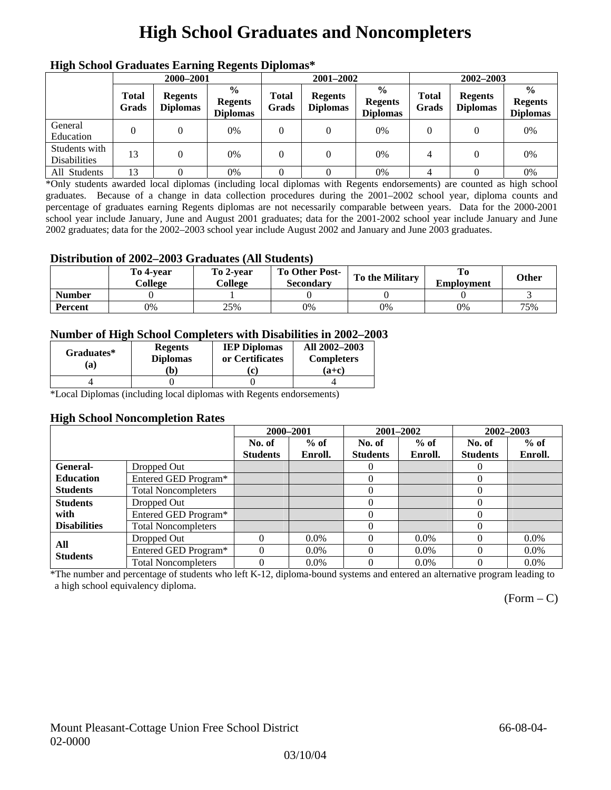# **High School Graduates and Noncompleters**

| ніді эспол этайнакі патінід кеденія вірюшая |                       |                                   |                                                    |                       |                                   |                                                    |                       |                                   |                                                    |
|---------------------------------------------|-----------------------|-----------------------------------|----------------------------------------------------|-----------------------|-----------------------------------|----------------------------------------------------|-----------------------|-----------------------------------|----------------------------------------------------|
|                                             | 2000-2001             |                                   |                                                    |                       | 2001-2002                         |                                                    | 2002-2003             |                                   |                                                    |
|                                             | <b>Total</b><br>Grads | <b>Regents</b><br><b>Diplomas</b> | $\frac{0}{0}$<br><b>Regents</b><br><b>Diplomas</b> | <b>Total</b><br>Grads | <b>Regents</b><br><b>Diplomas</b> | $\frac{6}{6}$<br><b>Regents</b><br><b>Diplomas</b> | <b>Total</b><br>Grads | <b>Regents</b><br><b>Diplomas</b> | $\frac{0}{0}$<br><b>Regents</b><br><b>Diplomas</b> |
| General<br>Education                        |                       |                                   | 0%                                                 | 0                     |                                   | 0%                                                 | $\theta$              |                                   | 0%                                                 |
| Students with<br><b>Disabilities</b>        | 13                    |                                   | 0%                                                 | 0                     | $\theta$                          | 0%                                                 | 4                     |                                   | 0%                                                 |
| All Students                                | 13                    |                                   | 0%                                                 |                       |                                   | 0%                                                 |                       |                                   | 0%                                                 |

## **High School Graduates Earning Regents Diplomas\***

\*Only students awarded local diplomas (including local diplomas with Regents endorsements) are counted as high school graduates. Because of a change in data collection procedures during the 2001–2002 school year, diploma counts and percentage of graduates earning Regents diplomas are not necessarily comparable between years. Data for the 2000-2001 school year include January, June and August 2001 graduates; data for the 2001-2002 school year include January and June 2002 graduates; data for the 2002–2003 school year include August 2002 and January and June 2003 graduates.

## **Distribution of 2002–2003 Graduates (All Students)**

|               | To 4-vear<br>College | To 2-vear<br>College | <b>To Other Post-</b><br><b>Secondary</b> | <b>To the Military</b> | To<br><b>Employment</b> | <b>Other</b> |
|---------------|----------------------|----------------------|-------------------------------------------|------------------------|-------------------------|--------------|
| <b>Number</b> |                      |                      |                                           |                        |                         |              |
| Percent       | 0%                   | 25%                  | 0%                                        | 0%                     | 0%                      | 75%          |

## **Number of High School Completers with Disabilities in 2002–2003**

| Graduates*<br>(a) | <b>Regents</b><br><b>Diplomas</b><br>b) | <b>IEP Diplomas</b><br>or Certificates<br>'ci | All 2002-2003<br><b>Completers</b><br>(a+c) |
|-------------------|-----------------------------------------|-----------------------------------------------|---------------------------------------------|
|                   |                                         |                                               |                                             |

\*Local Diplomas (including local diplomas with Regents endorsements)

## **High School Noncompletion Rates**

|                     |                            | 2000-2001       |         |                 | 2001-2002 | 2002-2003       |         |
|---------------------|----------------------------|-----------------|---------|-----------------|-----------|-----------------|---------|
|                     |                            | No. of          | $%$ of  | No. of          | $%$ of    | No. of          | $%$ of  |
|                     |                            | <b>Students</b> | Enroll. | <b>Students</b> | Enroll.   | <b>Students</b> | Enroll. |
| General-            | Dropped Out                |                 |         | $\theta$        |           | $\theta$        |         |
| <b>Education</b>    | Entered GED Program*       |                 |         | 0               |           | 0               |         |
| <b>Students</b>     | <b>Total Noncompleters</b> |                 |         | 0               |           | $\Omega$        |         |
| <b>Students</b>     | Dropped Out                |                 |         | 0               |           | 0               |         |
| with                | Entered GED Program*       |                 |         | 0               |           | 0               |         |
| <b>Disabilities</b> | <b>Total Noncompleters</b> |                 |         | 0               |           | 0               |         |
| All                 | Dropped Out                | $\Omega$        | $0.0\%$ | 0               | $0.0\%$   | $\theta$        | $0.0\%$ |
| <b>Students</b>     | Entered GED Program*       | $\Omega$        | $0.0\%$ |                 | $0.0\%$   | $\Omega$        | $0.0\%$ |
|                     | <b>Total Noncompleters</b> | $\Omega$        | $0.0\%$ | $\Omega$        | $0.0\%$   | $\Omega$        | $0.0\%$ |

\*The number and percentage of students who left K-12, diploma-bound systems and entered an alternative program leading to a high school equivalency diploma.

 $(Form - C)$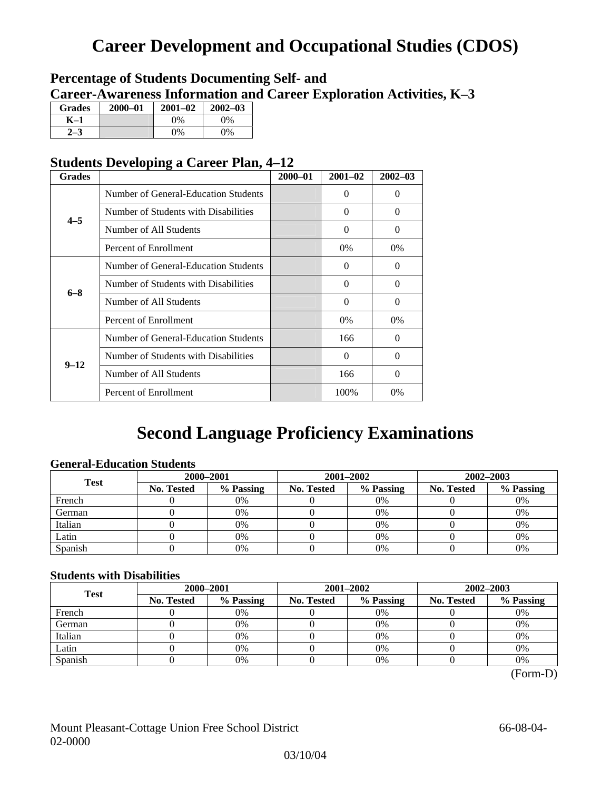# **Career Development and Occupational Studies (CDOS)**

## **Percentage of Students Documenting Self- and Career-Awareness Information and Career Exploration Activities, K–3**

| <b>Grades</b> | $2000 - 01$ | $2001 - 02$ | $2002 - 03$ |
|---------------|-------------|-------------|-------------|
| K–1           |             | $0\%$       | $0\%$       |
|               |             | $0\%$       | 0%          |

## **Students Developing a Career Plan, 4–12**

| <b>Grades</b> |                                                                                                                                                                                                                                                                                                                                | $2000 - 01$ | $2001 - 02$ | $2002 - 03$ |
|---------------|--------------------------------------------------------------------------------------------------------------------------------------------------------------------------------------------------------------------------------------------------------------------------------------------------------------------------------|-------------|-------------|-------------|
|               | Number of General-Education Students                                                                                                                                                                                                                                                                                           |             | $\Omega$    | $\theta$    |
| $4 - 5$       | Number of Students with Disabilities                                                                                                                                                                                                                                                                                           |             | 0           | $\Omega$    |
|               | Number of All Students                                                                                                                                                                                                                                                                                                         |             | $\theta$    | $\Omega$    |
|               | Percent of Enrollment<br>0%<br>Number of General-Education Students<br>0<br>Number of Students with Disabilities<br>$\Omega$<br>Number of All Students<br>$\theta$<br>Percent of Enrollment<br>0%<br>Number of General-Education Students<br>166<br>Number of Students with Disabilities<br>0<br>Number of All Students<br>166 | 0%          |             |             |
|               |                                                                                                                                                                                                                                                                                                                                |             |             | 0           |
| $6 - 8$       |                                                                                                                                                                                                                                                                                                                                |             |             | $\Omega$    |
|               |                                                                                                                                                                                                                                                                                                                                |             |             | $\Omega$    |
|               |                                                                                                                                                                                                                                                                                                                                | 100%        | $0\%$       |             |
|               |                                                                                                                                                                                                                                                                                                                                |             |             | $\Omega$    |
| $9 - 12$      |                                                                                                                                                                                                                                                                                                                                |             |             | $\Omega$    |
|               |                                                                                                                                                                                                                                                                                                                                |             |             | $\Omega$    |
|               | Percent of Enrollment                                                                                                                                                                                                                                                                                                          |             |             | 0%          |

## **Second Language Proficiency Examinations**

## **General-Education Students**

| <b>Test</b> | 2000-2001  |           |            | 2001-2002 | 2002-2003         |           |  |
|-------------|------------|-----------|------------|-----------|-------------------|-----------|--|
|             | No. Tested | % Passing | No. Tested | % Passing | <b>No. Tested</b> | % Passing |  |
| French      |            | 0%        |            | $0\%$     |                   | 0%        |  |
| German      |            | 0%        |            | $0\%$     |                   | 0%        |  |
| Italian     |            | 0%        |            | 0%        |                   | 0%        |  |
| Latin       |            | 0%        |            | 0%        |                   | 0%        |  |
| Spanish     |            | 0%        |            | 0%        |                   | 0%        |  |

## **Students with Disabilities**

| <b>Test</b> | 2000-2001         |           |            | 2001-2002 | 2002-2003         |           |  |
|-------------|-------------------|-----------|------------|-----------|-------------------|-----------|--|
|             | <b>No. Tested</b> | % Passing | No. Tested | % Passing | <b>No. Tested</b> | % Passing |  |
| French      |                   | 0%        |            | $0\%$     |                   | 0%        |  |
| German      |                   | 0%        |            | 0%        |                   | 0%        |  |
| Italian     |                   | 0%        |            | 0%        |                   | 0%        |  |
| Latin       |                   | 0%        |            | $0\%$     |                   | 0%        |  |
| Spanish     |                   | 0%        |            | 0%        |                   | 0%        |  |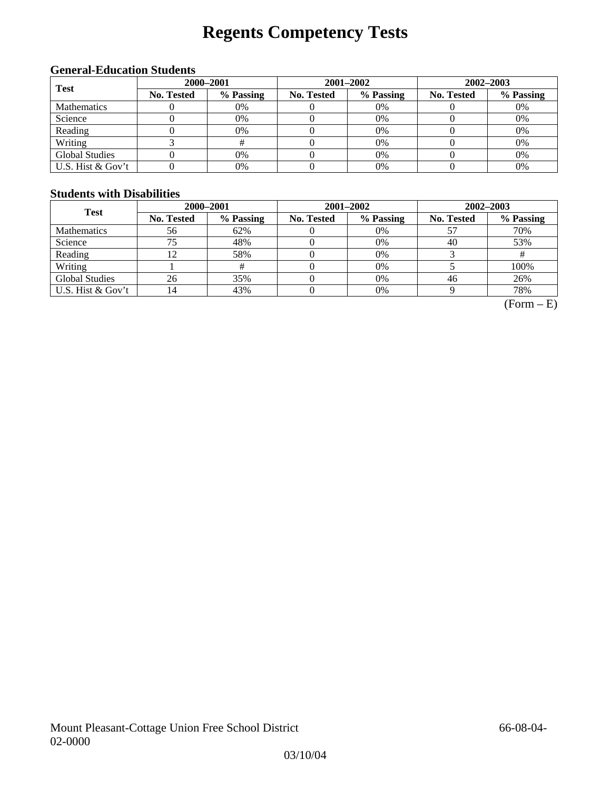# **Regents Competency Tests**

## **General-Education Students**

| <b>Test</b>        |                   | 2000-2001 |            | 2001-2002 | 2002-2003         |           |  |
|--------------------|-------------------|-----------|------------|-----------|-------------------|-----------|--|
|                    | <b>No. Tested</b> | % Passing | No. Tested | % Passing | <b>No. Tested</b> | % Passing |  |
| <b>Mathematics</b> |                   | 0%        |            | 0%        |                   | 0%        |  |
| Science            |                   | 0%        |            | 0%        |                   | 0%        |  |
| Reading            |                   | 0%        |            | $0\%$     |                   | 0%        |  |
| Writing            |                   |           |            | $0\%$     |                   | 0%        |  |
| Global Studies     |                   | 0%        |            | 0%        |                   | 0%        |  |
| U.S. Hist & Gov't  |                   | 0%        |            | 0%        |                   | 0%        |  |

## **Students with Disabilities**

| <b>Test</b>           | 2000-2001         |           |            | 2001-2002 | 2002-2003         |           |  |
|-----------------------|-------------------|-----------|------------|-----------|-------------------|-----------|--|
|                       | <b>No. Tested</b> | % Passing | No. Tested | % Passing | <b>No. Tested</b> | % Passing |  |
| <b>Mathematics</b>    | 56                | 62%       |            | 0%        |                   | 70%       |  |
| Science               | 75                | 48%       |            | 0%        | 40                | 53%       |  |
| Reading               |                   | 58%       |            | 0%        |                   |           |  |
| Writing               |                   |           |            | 0%        |                   | 100%      |  |
| <b>Global Studies</b> | 26                | 35%       |            | 0%        | 46                | 26%       |  |
| U.S. Hist & Gov't     | ι4                | 43%       |            | 0%        |                   | 78%       |  |

 $(Form - E)$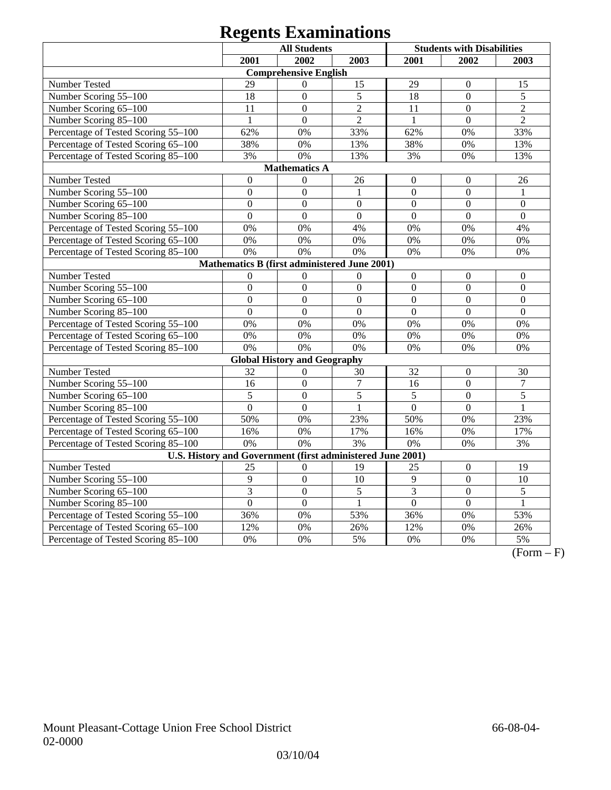# **Regents Examinations**

|                                                            |                  | <b>All Students</b>                          |                  |                  | <b>Students with Disabilities</b> |                  |  |
|------------------------------------------------------------|------------------|----------------------------------------------|------------------|------------------|-----------------------------------|------------------|--|
|                                                            | 2001             | 2002                                         | 2003             | 2001             | 2002                              | 2003             |  |
|                                                            |                  | <b>Comprehensive English</b>                 |                  |                  |                                   |                  |  |
| Number Tested                                              | 29               | $\overline{0}$                               | 15               | 29               | $\Omega$                          | 15               |  |
| Number Scoring 55-100                                      | 18               | $\overline{0}$                               | $\overline{5}$   | 18               | $\overline{0}$                    | 5                |  |
| Number Scoring 65-100                                      | 11               | $\overline{0}$                               | $\overline{2}$   | 11               | $\mathbf{0}$                      | $\overline{2}$   |  |
| Number Scoring 85-100                                      | $\mathbf{1}$     | $\mathbf{0}$                                 | $\overline{2}$   | $\mathbf{1}$     | $\overline{0}$                    | $\overline{2}$   |  |
| Percentage of Tested Scoring 55-100                        | 62%              | 0%                                           | 33%              | 62%              | 0%                                | 33%              |  |
| Percentage of Tested Scoring 65-100                        | 38%              | 0%                                           | 13%              | 38%              | 0%                                | 13%              |  |
| Percentage of Tested Scoring 85-100                        | 3%               | 0%                                           | 13%              | 3%               | 0%                                | 13%              |  |
|                                                            |                  | <b>Mathematics A</b>                         |                  |                  |                                   |                  |  |
| Number Tested                                              | $\boldsymbol{0}$ | $\boldsymbol{0}$                             | 26               | $\boldsymbol{0}$ | $\boldsymbol{0}$                  | 26               |  |
| Number Scoring 55-100                                      | $\boldsymbol{0}$ | $\boldsymbol{0}$                             | $\mathbf{1}$     | $\boldsymbol{0}$ | $\boldsymbol{0}$                  | $\,1$            |  |
| Number Scoring 65-100                                      | $\mathbf{0}$     | $\mathbf{0}$                                 | $\boldsymbol{0}$ | $\mathbf{0}$     | $\mathbf{0}$                      | $\mathbf{0}$     |  |
| Number Scoring 85-100                                      | $\overline{0}$   | $\overline{0}$                               | $\overline{0}$   | $\overline{0}$   | $\overline{0}$                    | $\overline{0}$   |  |
| Percentage of Tested Scoring 55-100                        | 0%               | 0%                                           | 4%               | 0%               | 0%                                | 4%               |  |
| Percentage of Tested Scoring 65-100                        | 0%               | 0%                                           | 0%               | 0%               | 0%                                | 0%               |  |
| Percentage of Tested Scoring 85-100                        | 0%               | 0%                                           | 0%               | 0%               | 0%                                | 0%               |  |
|                                                            |                  | Mathematics B (first administered June 2001) |                  |                  |                                   |                  |  |
| Number Tested                                              | $\theta$         | $\overline{0}$                               | $\mathbf{0}$     | $\mathbf{0}$     | $\mathbf{0}$                      | $\boldsymbol{0}$ |  |
| Number Scoring 55-100                                      | $\overline{0}$   | $\overline{0}$                               | $\overline{0}$   | $\overline{0}$   | $\overline{0}$                    | $\overline{0}$   |  |
| Number Scoring 65-100                                      | $\overline{0}$   | $\overline{0}$                               | $\overline{0}$   | $\overline{0}$   | $\overline{0}$                    | $\overline{0}$   |  |
| Number Scoring 85-100                                      | $\overline{0}$   | $\overline{0}$                               | $\overline{0}$   | $\overline{0}$   | $\overline{0}$                    | $\overline{0}$   |  |
| Percentage of Tested Scoring 55-100                        | 0%               | 0%                                           | 0%               | 0%               | 0%                                | 0%               |  |
| Percentage of Tested Scoring 65-100                        | 0%               | 0%                                           | 0%               | 0%               | 0%                                | 0%               |  |
| Percentage of Tested Scoring 85-100                        | 0%               | 0%                                           | 0%               | 0%               | 0%                                | 0%               |  |
|                                                            |                  | <b>Global History and Geography</b>          |                  |                  |                                   |                  |  |
| Number Tested                                              | 32               | $\overline{0}$                               | 30               | 32               | $\boldsymbol{0}$                  | 30               |  |
| Number Scoring 55-100                                      | 16               | $\mathbf{0}$                                 | $\boldsymbol{7}$ | 16               | $\overline{0}$                    | $\boldsymbol{7}$ |  |
| Number Scoring 65-100                                      | 5                | $\overline{0}$                               | 5                | 5                | $\overline{0}$                    | 5                |  |
| Number Scoring 85-100                                      | $\overline{0}$   | $\overline{0}$                               | $\mathbf{1}$     | $\overline{0}$   | $\overline{0}$                    | $\mathbf{1}$     |  |
| Percentage of Tested Scoring 55-100                        | 50%              | 0%                                           | 23%              | 50%              | 0%                                | 23%              |  |
| Percentage of Tested Scoring 65-100                        | 16%              | 0%                                           | 17%              | 16%              | 0%                                | 17%              |  |
| Percentage of Tested Scoring 85-100                        | 0%               | 0%                                           | 3%               | 0%               | 0%                                | 3%               |  |
| U.S. History and Government (first administered June 2001) |                  |                                              |                  |                  |                                   |                  |  |
| Number Tested                                              | 25               | $\boldsymbol{0}$                             | 19               | 25               | $\boldsymbol{0}$                  | 19               |  |
| Number Scoring 55-100                                      | 9                | $\overline{0}$                               | 10               | 9                | $\overline{0}$                    | 10               |  |
| Number Scoring 65-100                                      | $\overline{3}$   | $\overline{0}$                               | 5                | $\overline{3}$   | $\overline{0}$                    | $\overline{5}$   |  |
| Number Scoring 85-100                                      | $\overline{0}$   | $\overline{0}$                               | $\mathbf{1}$     | $\overline{0}$   | $\mathbf{0}$                      | $\mathbf{1}$     |  |
| Percentage of Tested Scoring 55-100                        | 36%              | 0%                                           | 53%              | 36%              | 0%                                | 53%              |  |
| Percentage of Tested Scoring 65-100                        | 12%              | 0%                                           | 26%              | 12%              | 0%                                | 26%              |  |
| Percentage of Tested Scoring 85-100                        | 0%               | 0%                                           | 5%               | 0%               | 0%                                | 5%               |  |

 $\overline{(Form - F)}$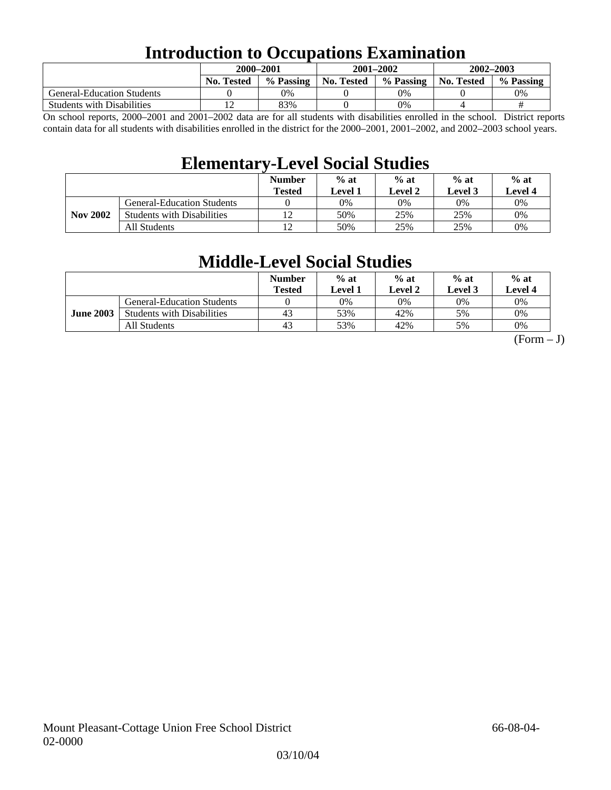## **Introduction to Occupations Examination**

|                                   | 2000–2001         |           | 2001-2002  |           | 2002-2003  |           |  |
|-----------------------------------|-------------------|-----------|------------|-----------|------------|-----------|--|
|                                   | <b>No. Tested</b> | % Passing | No. Tested | % Passing | No. Tested | % Passing |  |
| <b>General-Education Students</b> |                   | 0%        |            | 0%        |            | 0%        |  |
| <b>Students with Disabilities</b> |                   | 83%       |            | 0%        |            | #         |  |

On school reports, 2000–2001 and 2001–2002 data are for all students with disabilities enrolled in the school. District reports contain data for all students with disabilities enrolled in the district for the 2000–2001, 2001–2002, and 2002–2003 school years.

## **Elementary-Level Social Studies**

|                 |                                   | <b>Number</b><br><b>Tested</b> | $%$ at<br>Level 1 | $%$ at<br>Level 2 | $%$ at<br>Level 3 | $%$ at<br>Level 4 |
|-----------------|-----------------------------------|--------------------------------|-------------------|-------------------|-------------------|-------------------|
|                 | <b>General-Education Students</b> |                                | 0%                | 0%                | 0%                | 0%                |
| <b>Nov 2002</b> | <b>Students with Disabilities</b> | 12                             | 50%               | 25%               | 25%               | $0\%$             |
|                 | All Students                      | 12                             | 50%               | 25%               | 25%               | 0%                |

## **Middle-Level Social Studies**

|                  |                                   | <b>Number</b><br><b>Tested</b> | $%$ at<br>evel 1. | $%$ at<br>Level 2 | $%$ at<br>Level 3 | $%$ at<br>Level 4 |
|------------------|-----------------------------------|--------------------------------|-------------------|-------------------|-------------------|-------------------|
|                  | <b>General-Education Students</b> |                                | 0%                | 0%                | 0%                | 0%                |
| <b>June 2003</b> | <b>Students with Disabilities</b> | 43                             | 53%               | 42%               | 5%                | 0%                |
|                  | All Students                      | 43                             | 53%               | 42%               | 5%                | 0%                |

 $(Form - J)$